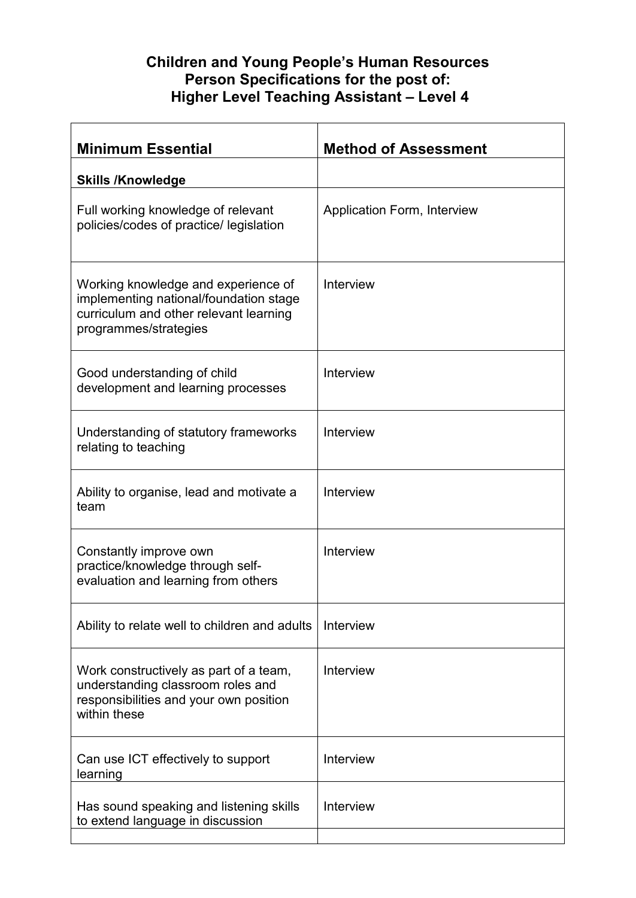## **Children and Young People's Human Resources Person Specifications for the post of: Higher Level Teaching Assistant – Level 4**

| <b>Minimum Essential</b>                                                                                                                         | <b>Method of Assessment</b> |
|--------------------------------------------------------------------------------------------------------------------------------------------------|-----------------------------|
| <b>Skills /Knowledge</b>                                                                                                                         |                             |
| Full working knowledge of relevant<br>policies/codes of practice/ legislation                                                                    | Application Form, Interview |
| Working knowledge and experience of<br>implementing national/foundation stage<br>curriculum and other relevant learning<br>programmes/strategies | Interview                   |
| Good understanding of child<br>development and learning processes                                                                                | Interview                   |
| Understanding of statutory frameworks<br>relating to teaching                                                                                    | Interview                   |
| Ability to organise, lead and motivate a<br>team                                                                                                 | Interview                   |
| Constantly improve own<br>practice/knowledge through self-<br>evaluation and learning from others                                                | Interview                   |
| Ability to relate well to children and adults                                                                                                    | Interview                   |
| Work constructively as part of a team,<br>understanding classroom roles and<br>responsibilities and your own position<br>within these            | Interview                   |
| Can use ICT effectively to support<br>learning                                                                                                   | Interview                   |
| Has sound speaking and listening skills<br>to extend language in discussion                                                                      | Interview                   |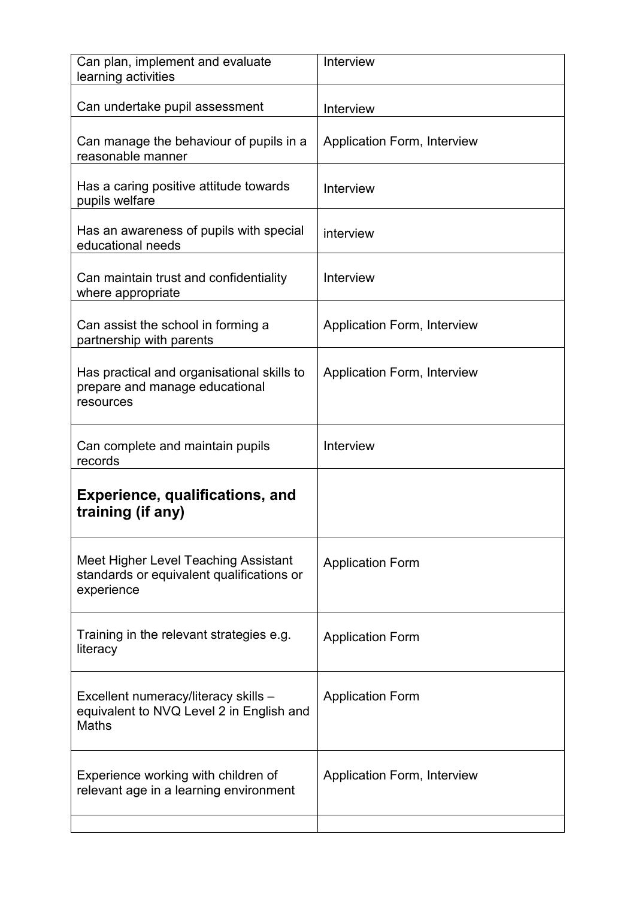| Can plan, implement and evaluate<br>learning activities                                          | Interview                          |
|--------------------------------------------------------------------------------------------------|------------------------------------|
| Can undertake pupil assessment                                                                   | Interview                          |
| Can manage the behaviour of pupils in a<br>reasonable manner                                     | Application Form, Interview        |
| Has a caring positive attitude towards<br>pupils welfare                                         | Interview                          |
| Has an awareness of pupils with special<br>educational needs                                     | interview                          |
| Can maintain trust and confidentiality<br>where appropriate                                      | Interview                          |
| Can assist the school in forming a<br>partnership with parents                                   | <b>Application Form, Interview</b> |
| Has practical and organisational skills to<br>prepare and manage educational<br>resources        | Application Form, Interview        |
| Can complete and maintain pupils<br>records                                                      | <b>Interview</b>                   |
| Experience, qualifications, and<br>training (if any)                                             |                                    |
| Meet Higher Level Teaching Assistant<br>standards or equivalent qualifications or<br>experience  | <b>Application Form</b>            |
| Training in the relevant strategies e.g.<br>literacy                                             | <b>Application Form</b>            |
| Excellent numeracy/literacy skills -<br>equivalent to NVQ Level 2 in English and<br><b>Maths</b> | <b>Application Form</b>            |
| Experience working with children of<br>relevant age in a learning environment                    | Application Form, Interview        |
|                                                                                                  |                                    |